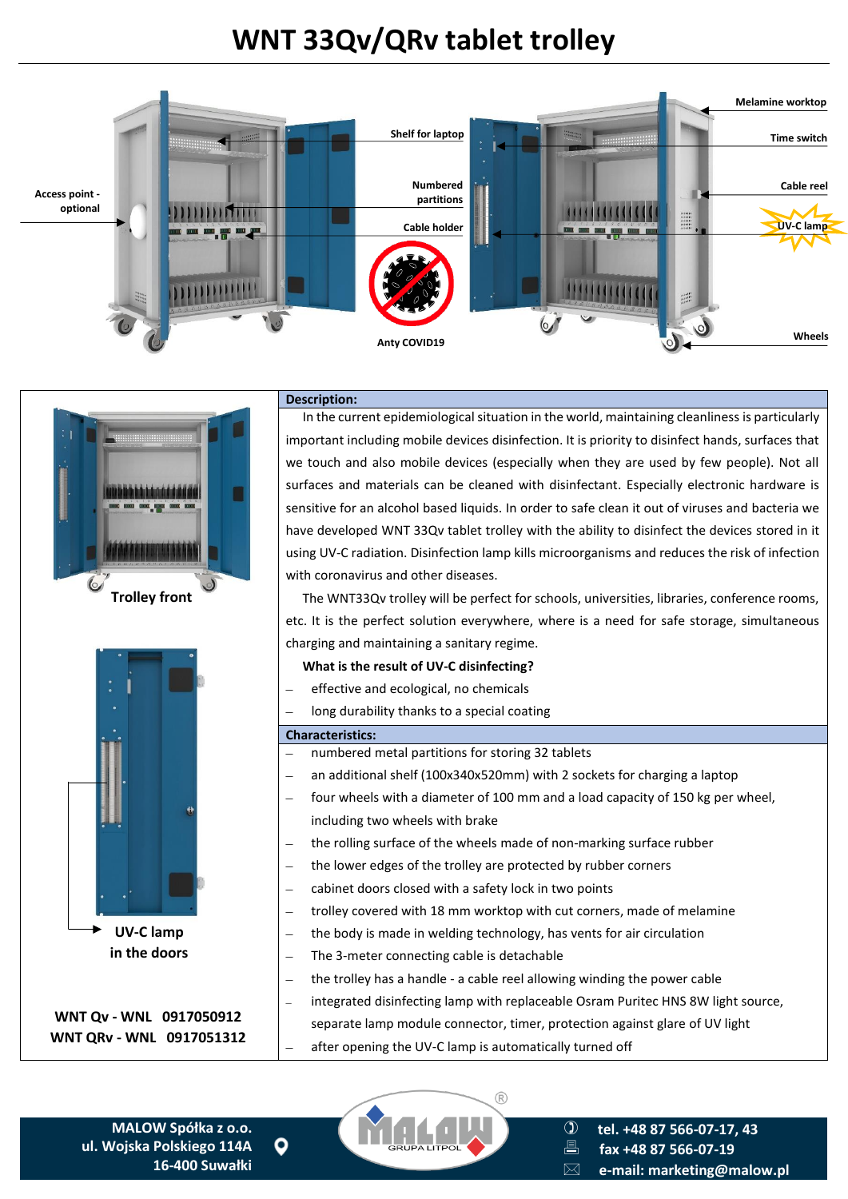## **WNT 33Qv/QRv tablet trolley**



# للاقتراء استسلط والمترات والأبا  $\mathbb{C}$ **Trolley front UV-C lamp in the doors WNT Qv - WNL 0917050912**

## **WNT QRv - WNL 0917051312**

#### **Description:**

In the current epidemiological situation in the world, maintaining cleanliness is particularly important including mobile devices disinfection. It is priority to disinfect hands, surfaces that we touch and also mobile devices (especially when they are used by few people). Not all surfaces and materials can be cleaned with disinfectant. Especially electronic hardware is sensitive for an alcohol based liquids. In order to safe clean it out of viruses and bacteria we have developed WNT 33Qv tablet trolley with the ability to disinfect the devices stored in it using UV-C radiation. Disinfection lamp kills microorganisms and reduces the risk of infection with coronavirus and other diseases.

The WNT33Qv trolley will be perfect for schools, universities, libraries, conference rooms, etc. It is the perfect solution everywhere, where is a need for safe storage, simultaneous charging and maintaining a sanitary regime.

#### **What is the result of UV-C disinfecting?**

- effective and ecological, no chemicals
- long durability thanks to a special coating

#### **Characteristics:**

- numbered metal partitions for storing 32 tablets
- an additional shelf (100x340x520mm) with 2 sockets for charging a laptop
- four wheels with a diameter of 100 mm and a load capacity of 150 kg per wheel, including two wheels with brake
- the rolling surface of the wheels made of non-marking surface rubber
- the lower edges of the trolley are protected by rubber corners
- cabinet doors closed with a safety lock in two points
- trolley covered with 18 mm worktop with cut corners, made of melamine
- the body is made in welding technology, has vents for air circulation
- The 3-meter connecting cable is detachable
- the trolley has a handle a cable reel allowing winding the power cable
- integrated disinfecting lamp with replaceable Osram Puritec HNS 8W light source,
- separate lamp module connector, timer, protection against glare of UV light
- after opening the UV-C lamp is automatically turned off

**MALOW Spółka z o.o. ul. Wojska Polskiego 114A 16-400 Suwałki** 

o

**tel. +48 87 566-07-17, 43**

- **fax +48 87 566-07-19**
- **e-mail: marketing@malow.pl**